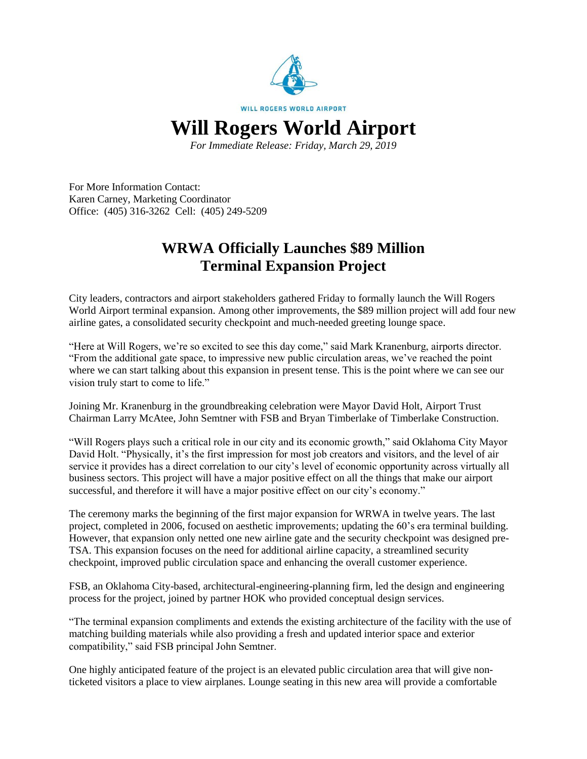

*For Immediate Release: Friday, March 29, 2019*

For More Information Contact: Karen Carney, Marketing Coordinator Office: (405) 316-3262 Cell: (405) 249-5209

## **WRWA Officially Launches \$89 Million Terminal Expansion Project**

City leaders, contractors and airport stakeholders gathered Friday to formally launch the Will Rogers World Airport terminal expansion. Among other improvements, the \$89 million project will add four new airline gates, a consolidated security checkpoint and much-needed greeting lounge space.

"Here at Will Rogers, we're so excited to see this day come," said Mark Kranenburg, airports director. "From the additional gate space, to impressive new public circulation areas, we've reached the point where we can start talking about this expansion in present tense. This is the point where we can see our vision truly start to come to life."

Joining Mr. Kranenburg in the groundbreaking celebration were Mayor David Holt, Airport Trust Chairman Larry McAtee, John Semtner with FSB and Bryan Timberlake of Timberlake Construction.

"Will Rogers plays such a critical role in our city and its economic growth," said Oklahoma City Mayor David Holt. "Physically, it's the first impression for most job creators and visitors, and the level of air service it provides has a direct correlation to our city's level of economic opportunity across virtually all business sectors. This project will have a major positive effect on all the things that make our airport successful, and therefore it will have a major positive effect on our city's economy."

The ceremony marks the beginning of the first major expansion for WRWA in twelve years. The last project, completed in 2006, focused on aesthetic improvements; updating the 60's era terminal building. However, that expansion only netted one new airline gate and the security checkpoint was designed pre-TSA. This expansion focuses on the need for additional airline capacity, a streamlined security checkpoint, improved public circulation space and enhancing the overall customer experience.

FSB, an Oklahoma City-based, architectural-engineering-planning firm, led the design and engineering process for the project, joined by partner HOK who provided conceptual design services.

"The terminal expansion compliments and extends the existing architecture of the facility with the use of matching building materials while also providing a fresh and updated interior space and exterior compatibility," said FSB principal John Semtner.

One highly anticipated feature of the project is an elevated public circulation area that will give nonticketed visitors a place to view airplanes. Lounge seating in this new area will provide a comfortable